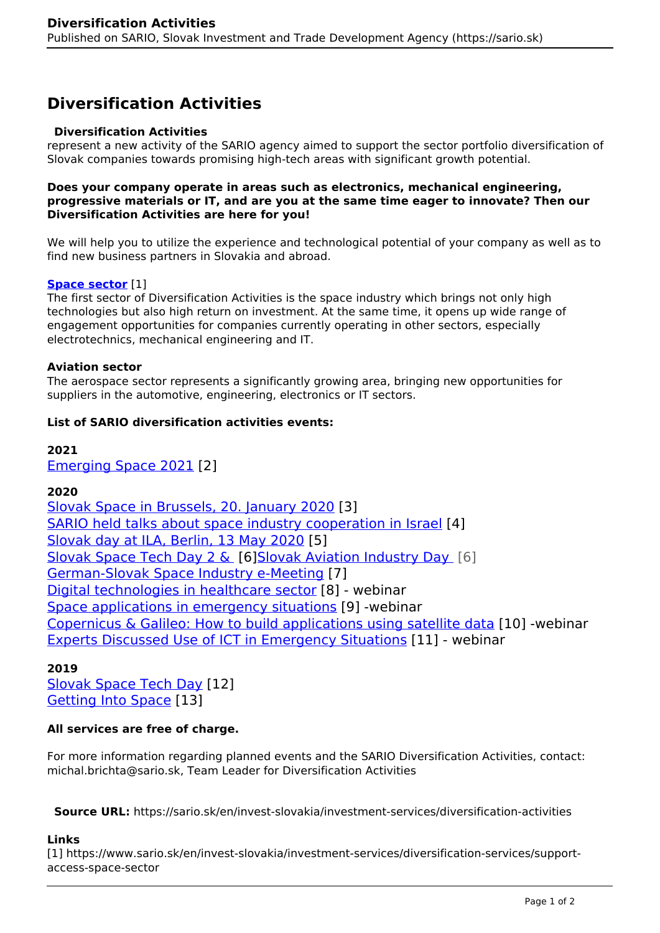# **Diversification Activities**

### **Diversification Activities**

represent a new activity of the SARIO agency aimed to support the sector portfolio diversification of Slovak companies towards promising high-tech areas with significant growth potential.

#### **Does your company operate in areas such as electronics, mechanical engineering, progressive materials or IT, and are you at the same time eager to innovate? Then our Diversification Activities are here for you!**

We will help you to utilize the experience and technological potential of your company as well as to find new business partners in Slovakia and abroad.

## **[Space sector](https://www.sario.sk/en/invest-slovakia/investment-services/diversification-services/support-access-space-sector)** [1]

The first sector of Diversification Activities is the space industry which brings not only high technologies but also high return on investment. At the same time, it opens up wide range of engagement opportunities for companies currently operating in other sectors, especially electrotechnics, mechanical engineering and IT.

#### **Aviation sector**

The aerospace sector represents a significantly growing area, bringing new opportunities for suppliers in the automotive, engineering, electronics or IT sectors.

### **List of SARIO diversification activities events:**

**2021** [Emerging Space 2021](https://www.sario.sk/sk/emerging-space-2021-save-date) [2]

# **2020**

[Slovak Space in Brussels, 20. January 2020](https://www.sario.sk/en/news/sario-introduced-potential-slovak-space-sector-brussels) [3] [SARIO held talks about space industry cooperation in Israel](https://www.sario.sk/en/news/sario-held-talks-about-space-industry-cooperation-israel) [4] [Slovak day at ILA, Berlin, 13 May 2020](https://www.sario.sk/en/events-projects/slovak-day-ila-berlin-2020) [5] [Slovak Space Tech Day 2 &](https://www.sario.sk/en/news/space-attracting-slovak-companies) [6[\]Slovak Aviation Industry Day](https://www.sario.sk/en/news/space-attracting-slovak-companies) [6] [German-Slovak Space Industry e-Meeting](https://www.sario.sk/en/events-projects/german-slovak-space-industry-e-meeting) [7] [Digital technologies in healthcare sector](https://www.sario.sk/en/news/digital-technologies-healthcare-sector) [8] - webinar [Space applications in emergency situations](https://www.sario.sk/en/news/report-space-applications-emergency-situations) [9] -webinar [Copernicus & Galileo: How to build applications using satellite data](https://www.sario.sk/en/news/copernicus-galileo-how-build-applications-using-satellite-data) [10] -webinar [Experts Discussed Use of ICT in Emergency Situations](https://www.sario.sk/en/news/experts-discussed-use-ict-emergency-situations) [11] - webinar

# **2019**

[Slovak Space Tech Day](https://www.sario.sk/en/news/slovak-space-tech-day) [12] [Getting Into Space](https://www.sario.sk/en/news/space-sector-available-more-ever-slovak-companies) [13]

# **All services are free of charge.**

For more information regarding planned events and the SARIO Diversification Activities, contact: michal.brichta@sario.sk, Team Leader for Diversification Activities

**Source URL:** https://sario.sk/en/invest-slovakia/investment-services/diversification-activities

# **Links**

[1] https://www.sario.sk/en/invest-slovakia/investment-services/diversification-services/supportaccess-space-sector